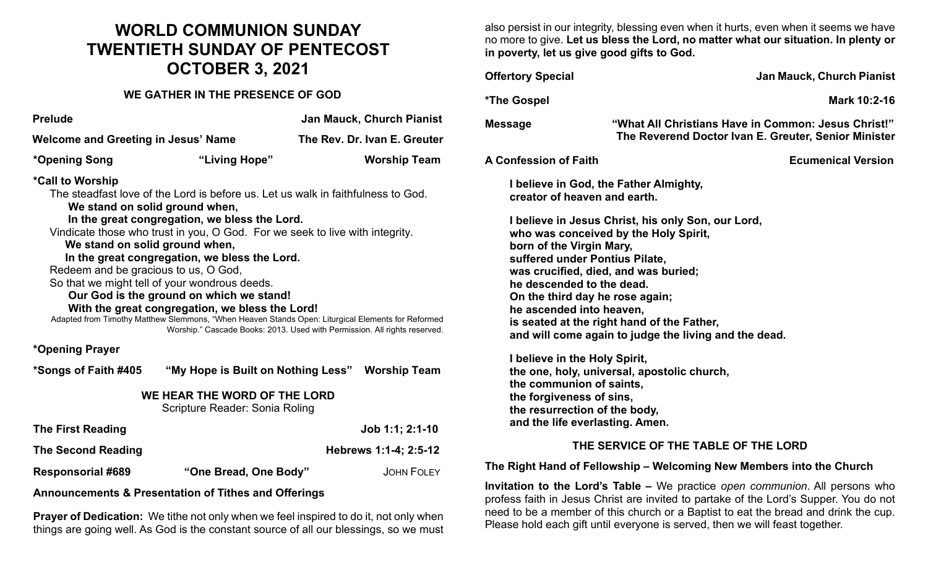## **WORLD COMMUNION SUNDAY TWENTIETH SUNDAY OF PENTECOST OCTOBER 3, 2021**

## **WE GATHER IN THE PRESENCE OF GOD**

| <b>Prelude</b>                                                                                                                                                                                                                                                                                                                                                                                                                                                                                                                                                                                                                                                                                                                       |                       | <b>Jan Mauck, Church Pianist</b>                |  |  |  |
|--------------------------------------------------------------------------------------------------------------------------------------------------------------------------------------------------------------------------------------------------------------------------------------------------------------------------------------------------------------------------------------------------------------------------------------------------------------------------------------------------------------------------------------------------------------------------------------------------------------------------------------------------------------------------------------------------------------------------------------|-----------------------|-------------------------------------------------|--|--|--|
| <b>Welcome and Greeting in Jesus' Name</b>                                                                                                                                                                                                                                                                                                                                                                                                                                                                                                                                                                                                                                                                                           |                       | The Rev. Dr. Ivan E. Greuter                    |  |  |  |
| *Opening Song                                                                                                                                                                                                                                                                                                                                                                                                                                                                                                                                                                                                                                                                                                                        | "Living Hope"         | <b>Worship Team</b>                             |  |  |  |
| *Call to Worship<br>The steadfast love of the Lord is before us. Let us walk in faithfulness to God.<br>We stand on solid ground when,<br>In the great congregation, we bless the Lord.<br>Vindicate those who trust in you, O God. For we seek to live with integrity.<br>We stand on solid ground when,<br>In the great congregation, we bless the Lord.<br>Redeem and be gracious to us, O God,<br>So that we might tell of your wondrous deeds.<br>Our God is the ground on which we stand!<br>With the great congregation, we bless the Lord!<br>Adapted from Timothy Matthew Slemmons, "When Heaven Stands Open: Liturgical Elements for Reformed<br>Worship." Cascade Books: 2013. Used with Permission. All rights reserved. |                       |                                                 |  |  |  |
| *Opening Prayer                                                                                                                                                                                                                                                                                                                                                                                                                                                                                                                                                                                                                                                                                                                      |                       |                                                 |  |  |  |
| *Songs of Faith #405                                                                                                                                                                                                                                                                                                                                                                                                                                                                                                                                                                                                                                                                                                                 |                       | "My Hope is Built on Nothing Less" Worship Team |  |  |  |
| WE HEAR THE WORD OF THE LORD<br>Scripture Reader: Sonia Roling                                                                                                                                                                                                                                                                                                                                                                                                                                                                                                                                                                                                                                                                       |                       |                                                 |  |  |  |
| <b>The First Reading</b>                                                                                                                                                                                                                                                                                                                                                                                                                                                                                                                                                                                                                                                                                                             |                       | Job 1:1; 2:1-10                                 |  |  |  |
| <b>The Second Reading</b>                                                                                                                                                                                                                                                                                                                                                                                                                                                                                                                                                                                                                                                                                                            |                       | Hebrews 1:1-4; 2:5-12                           |  |  |  |
| <b>Responsorial #689</b>                                                                                                                                                                                                                                                                                                                                                                                                                                                                                                                                                                                                                                                                                                             | "One Bread, One Body" | <b>JOHN FOLEY</b>                               |  |  |  |
| <b>Announcements &amp; Presentation of Tithes and Offerings</b>                                                                                                                                                                                                                                                                                                                                                                                                                                                                                                                                                                                                                                                                      |                       |                                                 |  |  |  |

**Prayer of Dedication:** We tithe not only when we feel inspired to do it, not only when things are going well. As God is the constant source of all our blessings, so we must also persist in our integrity, blessing even when it hurts, even when it seems we have no more to give. **Let us bless the Lord, no matter what our situation. In plenty or in poverty, let us give good gifts to God.**

| <b>Offertory Special</b>                                                                                                                                                                                                                                                                                                                                                                             | <b>Jan Mauck, Church Pianist</b>                                                                            |  |  |
|------------------------------------------------------------------------------------------------------------------------------------------------------------------------------------------------------------------------------------------------------------------------------------------------------------------------------------------------------------------------------------------------------|-------------------------------------------------------------------------------------------------------------|--|--|
| *The Gospel                                                                                                                                                                                                                                                                                                                                                                                          | Mark 10:2-16                                                                                                |  |  |
| <b>Message</b>                                                                                                                                                                                                                                                                                                                                                                                       | "What All Christians Have in Common: Jesus Christ!"<br>The Reverend Doctor Ivan E. Greuter, Senior Minister |  |  |
| A Confession of Faith                                                                                                                                                                                                                                                                                                                                                                                | <b>Ecumenical Version</b>                                                                                   |  |  |
| I believe in God, the Father Almighty,<br>creator of heaven and earth.                                                                                                                                                                                                                                                                                                                               |                                                                                                             |  |  |
| I believe in Jesus Christ, his only Son, our Lord,<br>who was conceived by the Holy Spirit,<br>born of the Virgin Mary,<br>suffered under Pontius Pilate,<br>was crucified, died, and was buried;<br>he descended to the dead.<br>On the third day he rose again;<br>he ascended into heaven,<br>is seated at the right hand of the Father,<br>and will come again to judge the living and the dead. |                                                                                                             |  |  |
| I believe in the Holy Spirit,<br>the one, holy, universal, apostolic church,<br>the communion of saints,<br>the forgiveness of sins,<br>the resurrection of the body,<br>and the life everlasting. Amen.                                                                                                                                                                                             |                                                                                                             |  |  |
| THE SERVICE OF THE TABLE OF THE LORD                                                                                                                                                                                                                                                                                                                                                                 |                                                                                                             |  |  |
| The Right Hand of Fellowship – Welcoming New Members into the Church                                                                                                                                                                                                                                                                                                                                 |                                                                                                             |  |  |
| <b>Invitation to the Lord's Table –</b> We practice onen communion. All persons who                                                                                                                                                                                                                                                                                                                  |                                                                                                             |  |  |

**Invitation to the Lord's Table –** We practice *open communion*. All persons who profess faith in Jesus Christ are invited to partake of the Lord's Supper. You do not need to be a member of this church or a Baptist to eat the bread and drink the cup. Please hold each gift until everyone is served, then we will feast together.